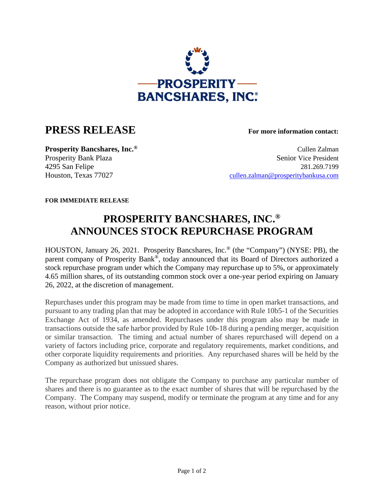

## **PRESS RELEASE For more information contact:**

**Prosperity Bancshares, Inc.<sup>®</sup> Cullen Zalman** Prosperity Bank Plaza Senior Vice President 4295 San Felipe 281.269.7199 Houston, Texas 77027 [cullen.zalman@prosperitybankusa.com](mailto:cullen.zalman@prosperitybankusa.com)

**FOR IMMEDIATE RELEASE**

## **PROSPERITY BANCSHARES, INC.® ANNOUNCES STOCK REPURCHASE PROGRAM**

HOUSTON, January 26, 2021. Prosperity Bancshares, Inc.® (the "Company") (NYSE: PB), the parent company of Prosperity Bank®, today announced that its Board of Directors authorized a stock repurchase program under which the Company may repurchase up to 5%, or approximately 4.65 million shares, of its outstanding common stock over a one-year period expiring on January 26, 2022, at the discretion of management.

Repurchases under this program may be made from time to time in open market transactions, and pursuant to any trading plan that may be adopted in accordance with Rule 10b5-1 of the Securities Exchange Act of 1934, as amended. Repurchases under this program also may be made in transactions outside the safe harbor provided by Rule 10b-18 during a pending merger, acquisition or similar transaction. The timing and actual number of shares repurchased will depend on a variety of factors including price, corporate and regulatory requirements, market conditions, and other corporate liquidity requirements and priorities. Any repurchased shares will be held by the Company as authorized but unissued shares.

The repurchase program does not obligate the Company to purchase any particular number of shares and there is no guarantee as to the exact number of shares that will be repurchased by the Company. The Company may suspend, modify or terminate the program at any time and for any reason, without prior notice.